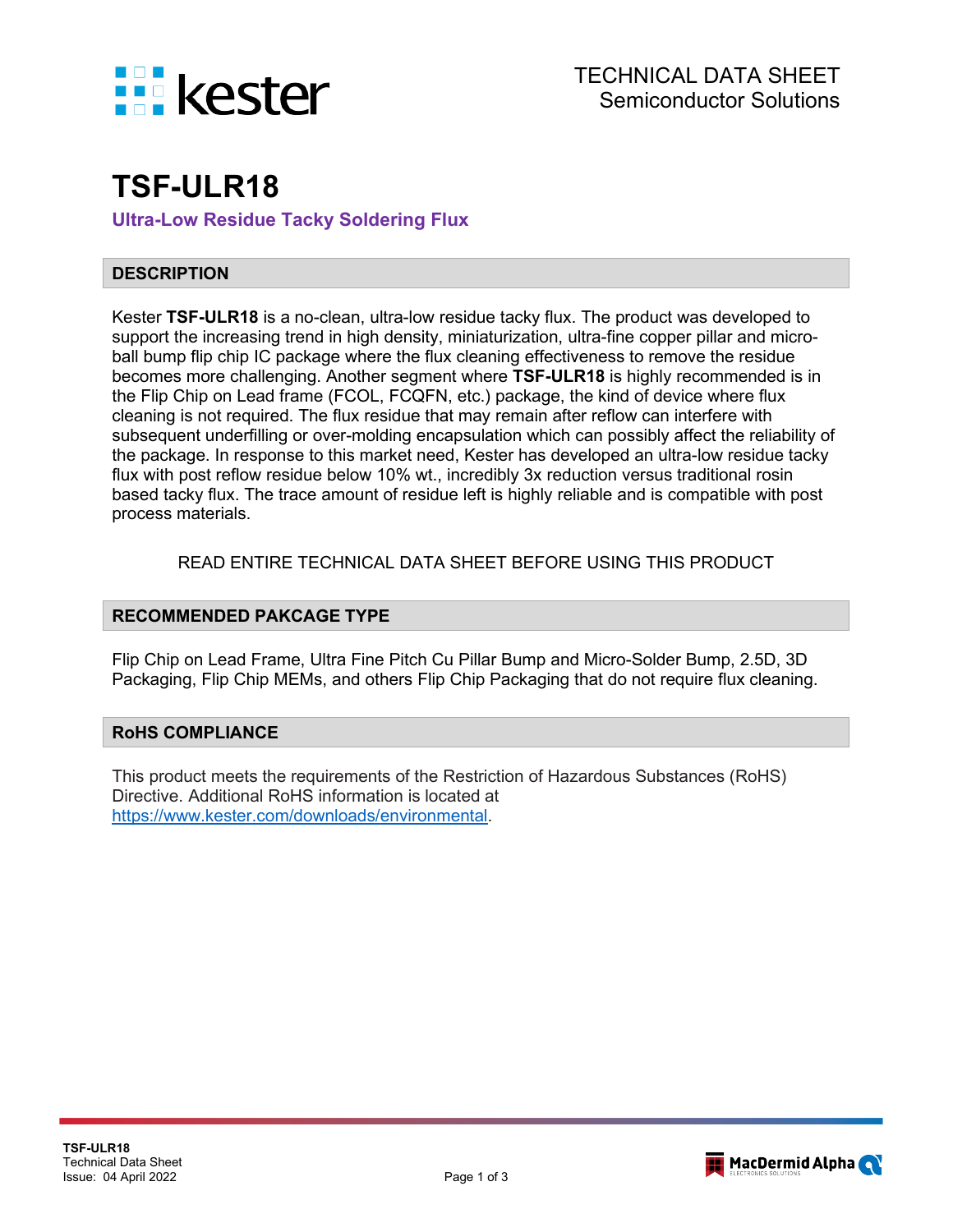

# **TSF-ULR18**

**Ultra-Low Residue Tacky Soldering Flux**

## **DESCRIPTION**

Kester **TSF-ULR18** is a no-clean, ultra-low residue tacky flux. The product was developed to support the increasing trend in high density, miniaturization, ultra-fine copper pillar and microball bump flip chip IC package where the flux cleaning effectiveness to remove the residue becomes more challenging. Another segment where **TSF-ULR18** is highly recommended is in the Flip Chip on Lead frame (FCOL, FCQFN, etc.) package, the kind of device where flux cleaning is not required. The flux residue that may remain after reflow can interfere with subsequent underfilling or over-molding encapsulation which can possibly affect the reliability of the package. In response to this market need, Kester has developed an ultra-low residue tacky flux with post reflow residue below 10% wt., incredibly 3x reduction versus traditional rosin based tacky flux. The trace amount of residue left is highly reliable and is compatible with post process materials.

## READ ENTIRE TECHNICAL DATA SHEET BEFORE USING THIS PRODUCT

## **RECOMMENDED PAKCAGE TYPE**

Flip Chip on Lead Frame, Ultra Fine Pitch Cu Pillar Bump and Micro-Solder Bump, 2.5D, 3D Packaging, Flip Chip MEMs, and others Flip Chip Packaging that do not require flux cleaning.

## **RoHS COMPLIANCE**

This product meets the requirements of the Restriction of Hazardous Substances (RoHS) Directive. Additional RoHS information is located at [https://www.kester.com/downloads/environmental.](https://www.kester.com/downloads/environmental)

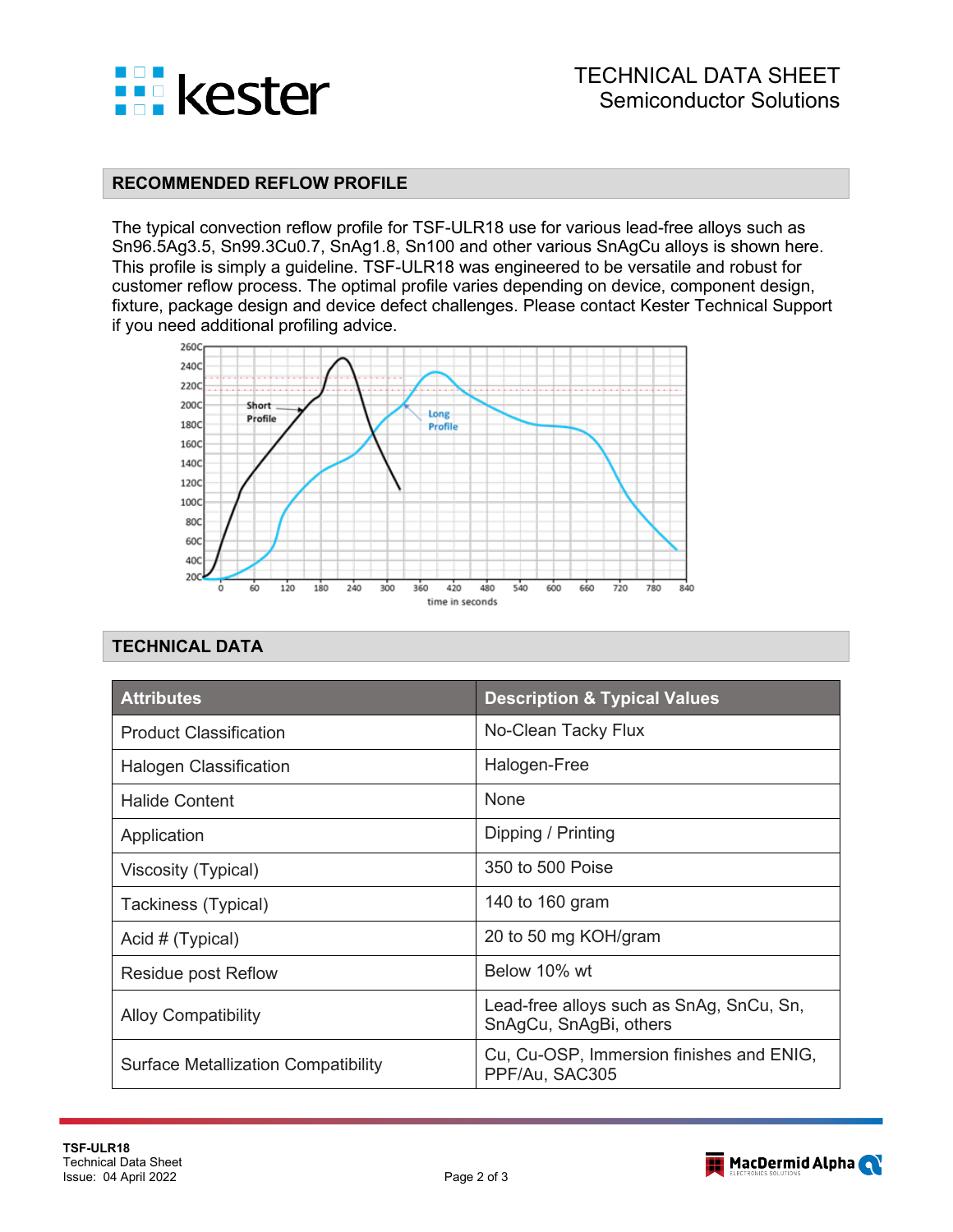

#### **RECOMMENDED REFLOW PROFILE**

The typical convection reflow profile for TSF-ULR18 use for various lead-free alloys such as Sn96.5Ag3.5, Sn99.3Cu0.7, SnAg1.8, Sn100 and other various SnAgCu alloys is shown here. This profile is simply a guideline. TSF-ULR18 was engineered to be versatile and robust for customer reflow process. The optimal profile varies depending on device, component design, fixture, package design and device defect challenges. Please contact Kester Technical Support if you need additional profiling advice.



# **TECHNICAL DATA**

| <b>Attributes</b>                          | <b>Description &amp; Typical Values</b>                            |  |
|--------------------------------------------|--------------------------------------------------------------------|--|
| <b>Product Classification</b>              | No-Clean Tacky Flux                                                |  |
| <b>Halogen Classification</b>              | Halogen-Free                                                       |  |
| Halide Content                             | None                                                               |  |
| Application                                | Dipping / Printing                                                 |  |
| Viscosity (Typical)                        | 350 to 500 Poise                                                   |  |
| Tackiness (Typical)                        | 140 to 160 gram                                                    |  |
| Acid # (Typical)                           | 20 to 50 mg KOH/gram                                               |  |
| Residue post Reflow                        | Below 10% wt                                                       |  |
| <b>Alloy Compatibility</b>                 | Lead-free alloys such as SnAg, SnCu, Sn,<br>SnAgCu, SnAgBi, others |  |
| <b>Surface Metallization Compatibility</b> | Cu, Cu-OSP, Immersion finishes and ENIG,<br>PPF/Au, SAC305         |  |